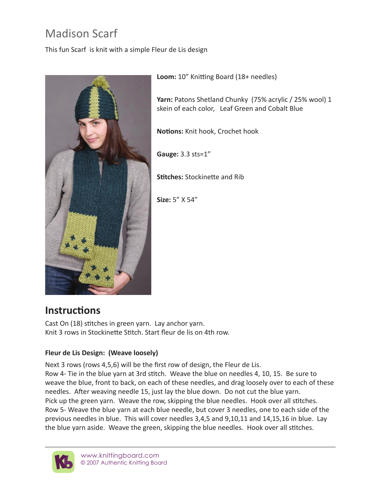## Madison Scarf

This fun Scarf is knit with a simple Fleur de Lis design



**Loom:** 10" Knitting Board (18+ needles)

**Yarn:** Patons Shetland Chunky (75% acrylic / 25% wool) 1 skein of each color, Leaf Green and Cobalt Blue

**Notions:** Knit hook, Crochet hook

**Gauge:** 3.3 sts=1"

**Stitches:** Stockinette and Rib

**Size:** 5" X 54"

## **Instructions**

Cast On (18) stitches in green yarn. Lay anchor yarn. Knit 3 rows in Stockinette Stitch. Start fleur de lis on 4th row.

## **Fleur de Lis Design: (Weave loosely)**

Next 3 rows (rows 4,5,6) will be the first row of design, the Fleur de Lis. Row 4- Tie in the blue yarn at 3rd stitch. Weave the blue on needles 4, 10, 15. Be sure to weave the blue, front to back, on each of these needles, and drag loosely over to each of these needles. After weaving needle 15, just lay the blue down. Do not cut the blue yarn. Pick up the green yarn. Weave the row, skipping the blue needles. Hook over all stitches. Row 5- Weave the blue yarn at each blue needle, but cover 3 needles, one to each side of the previous needles in blue. This will cover needles 3,4,5 and 9,10,11 and 14,15,16 in blue. Lay the blue yarn aside. Weave the green, skipping the blue needles. Hook over all stitches.